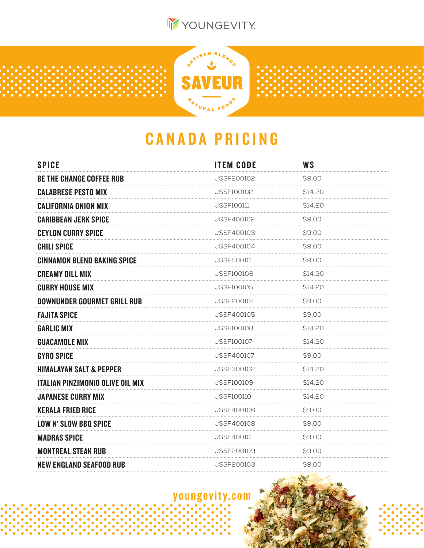



## CANADA PRICING

| <b>SPICE</b>                            | <b>ITEM CODE</b> | <b>WS</b> |
|-----------------------------------------|------------------|-----------|
| <b>BE THE CHANGE COFFEE RUB</b>         | USSF200102       | \$9.00    |
| <b>CALABRESE PESTO MIX</b>              | USSF100102       | \$14.20   |
| <b>CALIFORNIA ONION MIX</b>             | USSF100111       | \$14.20   |
| <b>CARIBBEAN JERK SPICE</b>             | USSF400102       | \$9.00    |
| <b>CEYLON CURRY SPICE</b>               | USSF400103       | \$9.00    |
| <b>CHILI SPICE</b>                      | USSF400104       | \$9.00    |
| <b>CINNAMON BLEND BAKING SPICE</b>      | USSF500101       | \$9.00    |
| <b>CREAMY DILL MIX</b>                  | USSF100106       | \$14.20   |
| <b>CURRY HOUSE MIX</b>                  | USSF100105       | \$14.20   |
| <b>DOWNUNDER GOURMET GRILL RUB</b>      | USSF200101       | \$9.00    |
| <b>FAJITA SPICE</b>                     | USSF400105       | \$9.00    |
| <b>GARLIC MIX</b>                       | USSF100108       | \$14.20   |
| <b>GUACAMOLE MIX</b>                    | USSF100107       | \$14.20   |
| <b>GYRO SPICE</b>                       | USSF400107       | \$9.00    |
| <b>HIMALAYAN SALT &amp; PEPPER</b>      | USSF300102       | \$14.20   |
| <b>ITALIAN PINZIMONIO OLIVE OIL MIX</b> | USSF100109       | \$14.20   |
| <b>JAPANESE CURRY MIX</b>               | USSF100110       | \$14.20   |
| <b>KERALA FRIED RICE</b>                | USSF400106       | S9.00     |
| <b>LOW N' SLOW BBQ SPICE</b>            | USSF400108       | \$9.00    |
| <b>MADRAS SPICE</b>                     | USSF400101       | \$9.00    |
| <b>MONTREAL STEAK RUB</b>               | USSF200109       | \$9.00    |
| <b>NEW ENGLAND SEAFOOD RUB</b>          | USSF200103       | \$9.00    |